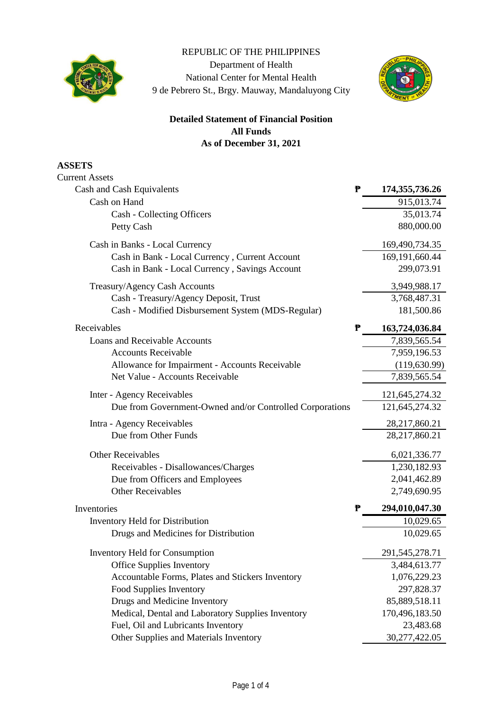

## REPUBLIC OF THE PHILIPPINES

Department of Health National Center for Mental Health 9 de Pebrero St., Brgy. Mauway, Mandaluyong City



## **As of December 31, 2021 Detailed Statement of Financial Position All Funds**

**ASSETS**

| <b>Current Assets</b>                                    |                        |
|----------------------------------------------------------|------------------------|
| Cash and Cash Equivalents                                | 174, 355, 736. 26<br>₱ |
| Cash on Hand                                             | 915,013.74             |
| Cash - Collecting Officers                               | 35,013.74              |
| Petty Cash                                               | 880,000.00             |
| Cash in Banks - Local Currency                           | 169,490,734.35         |
| Cash in Bank - Local Currency, Current Account           | 169,191,660.44         |
| Cash in Bank - Local Currency, Savings Account           | 299,073.91             |
| Treasury/Agency Cash Accounts                            | 3,949,988.17           |
| Cash - Treasury/Agency Deposit, Trust                    | 3,768,487.31           |
| Cash - Modified Disbursement System (MDS-Regular)        | 181,500.86             |
| Receivables                                              | ₱<br>163,724,036.84    |
| Loans and Receivable Accounts                            | 7,839,565.54           |
| <b>Accounts Receivable</b>                               | 7,959,196.53           |
| Allowance for Impairment - Accounts Receivable           | (119, 630.99)          |
| Net Value - Accounts Receivable                          | 7,839,565.54           |
| Inter - Agency Receivables                               | 121,645,274.32         |
| Due from Government-Owned and/or Controlled Corporations | 121,645,274.32         |
| Intra - Agency Receivables                               | 28,217,860.21          |
| Due from Other Funds                                     | 28,217,860.21          |
| <b>Other Receivables</b>                                 | 6,021,336.77           |
| Receivables - Disallowances/Charges                      | 1,230,182.93           |
| Due from Officers and Employees                          | 2,041,462.89           |
| <b>Other Receivables</b>                                 | 2,749,690.95           |
| Inventories                                              | 294,010,047.30<br>₱    |
| <b>Inventory Held for Distribution</b>                   | 10,029.65              |
| Drugs and Medicines for Distribution                     | 10,029.65              |
| <b>Inventory Held for Consumption</b>                    | 291,545,278.71         |
| Office Supplies Inventory                                | 3,484,613.77           |
| Accountable Forms, Plates and Stickers Inventory         | 1,076,229.23           |
| Food Supplies Inventory                                  | 297,828.37             |
| Drugs and Medicine Inventory                             | 85,889,518.11          |
| Medical, Dental and Laboratory Supplies Inventory        | 170,496,183.50         |
| Fuel, Oil and Lubricants Inventory                       | 23,483.68              |
| Other Supplies and Materials Inventory                   | 30,277,422.05          |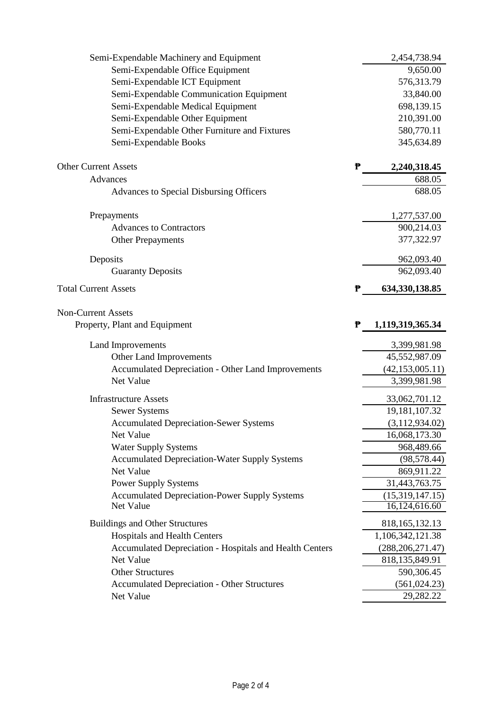| Semi-Expendable Machinery and Equipment                   |   | 2,454,738.94       |
|-----------------------------------------------------------|---|--------------------|
| Semi-Expendable Office Equipment                          |   | 9,650.00           |
| Semi-Expendable ICT Equipment                             |   | 576,313.79         |
| Semi-Expendable Communication Equipment                   |   | 33,840.00          |
| Semi-Expendable Medical Equipment                         |   | 698,139.15         |
| Semi-Expendable Other Equipment                           |   | 210,391.00         |
| Semi-Expendable Other Furniture and Fixtures              |   | 580,770.11         |
| Semi-Expendable Books                                     |   | 345,634.89         |
| <b>Other Current Assets</b>                               | ₱ | 2,240,318.45       |
| Advances                                                  |   | 688.05             |
| Advances to Special Disbursing Officers                   |   | 688.05             |
| Prepayments                                               |   | 1,277,537.00       |
| <b>Advances to Contractors</b>                            |   | 900,214.03         |
| <b>Other Prepayments</b>                                  |   | 377,322.97         |
| Deposits                                                  |   | 962,093.40         |
| <b>Guaranty Deposits</b>                                  |   | 962,093.40         |
| <b>Total Current Assets</b>                               | ₱ | 634, 330, 138.85   |
| <b>Non-Current Assets</b>                                 |   |                    |
| Property, Plant and Equipment                             | ₱ | 1,119,319,365.34   |
| Land Improvements                                         |   | 3,399,981.98       |
| Other Land Improvements                                   |   | 45,552,987.09      |
| <b>Accumulated Depreciation - Other Land Improvements</b> |   | (42, 153, 005.11)  |
| Net Value                                                 |   | 3,399,981.98       |
| <b>Infrastructure Assets</b>                              |   | 33,062,701.12      |
| <b>Sewer Systems</b>                                      |   | 19, 181, 107. 32   |
| <b>Accumulated Depreciation-Sewer Systems</b>             |   | (3,112,934.02)     |
| Net Value                                                 |   | 16,068,173.30      |
| <b>Water Supply Systems</b>                               |   | 968,489.66         |
| <b>Accumulated Depreciation-Water Supply Systems</b>      |   | (98, 578.44)       |
| Net Value                                                 |   | 869,911.22         |
| <b>Power Supply Systems</b>                               |   | 31,443,763.75      |
| <b>Accumulated Depreciation-Power Supply Systems</b>      |   | (15,319,147.15)    |
| Net Value                                                 |   | 16,124,616.60      |
| <b>Buildings and Other Structures</b>                     |   | 818, 165, 132. 13  |
| <b>Hospitals and Health Centers</b>                       |   | 1,106,342,121.38   |
| Accumulated Depreciation - Hospitals and Health Centers   |   | (288, 206, 271.47) |
| Net Value                                                 |   | 818, 135, 849. 91  |
| <b>Other Structures</b>                                   |   | 590,306.45         |
| <b>Accumulated Depreciation - Other Structures</b>        |   | (561, 024.23)      |
| Net Value                                                 |   | 29,282.22          |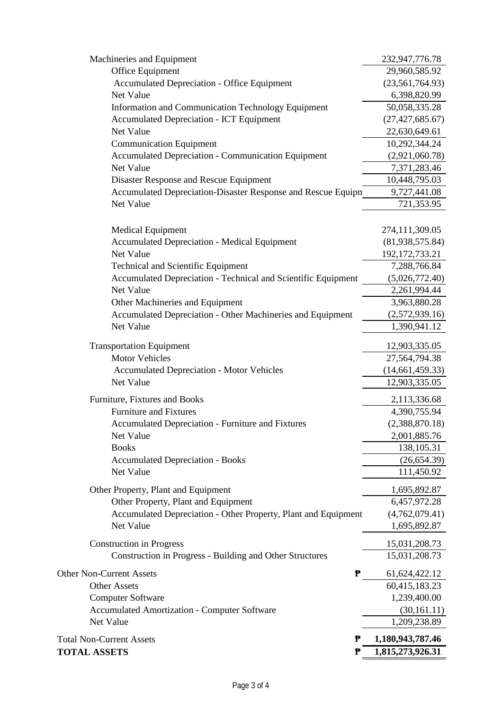| Machineries and Equipment                                      | 232,947,776.78    |
|----------------------------------------------------------------|-------------------|
| Office Equipment                                               | 29,960,585.92     |
| <b>Accumulated Depreciation - Office Equipment</b>             | (23, 561, 764.93) |
| Net Value                                                      | 6,398,820.99      |
| Information and Communication Technology Equipment             | 50,058,335.28     |
| <b>Accumulated Depreciation - ICT Equipment</b>                | (27, 427, 685.67) |
| Net Value                                                      | 22,630,649.61     |
| <b>Communication Equipment</b>                                 | 10,292,344.24     |
| <b>Accumulated Depreciation - Communication Equipment</b>      | (2,921,060.78)    |
| Net Value                                                      | 7,371,283.46      |
| Disaster Response and Rescue Equipment                         | 10,448,795.03     |
| Accumulated Depreciation-Disaster Response and Rescue Equipn   | 9,727,441.08      |
| Net Value                                                      | 721,353.95        |
| <b>Medical Equipment</b>                                       | 274,111,309.05    |
| <b>Accumulated Depreciation - Medical Equipment</b>            | (81,938,575.84)   |
| Net Value                                                      | 192, 172, 733. 21 |
| Technical and Scientific Equipment                             | 7,288,766.84      |
| Accumulated Depreciation - Technical and Scientific Equipment  | (5,026,772.40)    |
| Net Value                                                      | 2,261,994.44      |
| Other Machineries and Equipment                                | 3,963,880.28      |
| Accumulated Depreciation - Other Machineries and Equipment     | (2,572,939.16)    |
| Net Value                                                      | 1,390,941.12      |
| <b>Transportation Equipment</b>                                | 12,903,335.05     |
| <b>Motor Vehicles</b>                                          | 27,564,794.38     |
| <b>Accumulated Depreciation - Motor Vehicles</b>               | (14, 661, 459.33) |
| Net Value                                                      | 12,903,335.05     |
| Furniture, Fixtures and Books                                  | 2,113,336.68      |
| <b>Furniture and Fixtures</b>                                  | 4,390,755.94      |
| Accumulated Depreciation - Furniture and Fixtures              | (2,388,870.18)    |
| Net Value                                                      | 2,001,885.76      |
| <b>Books</b>                                                   | 138,105.31        |
| <b>Accumulated Depreciation - Books</b>                        | (26, 654.39)      |
| Net Value                                                      | 111,450.92        |
| Other Property, Plant and Equipment                            | 1,695,892.87      |
| Other Property, Plant and Equipment                            | 6,457,972.28      |
| Accumulated Depreciation - Other Property, Plant and Equipment | (4,762,079.41)    |
| Net Value                                                      | 1,695,892.87      |
| <b>Construction in Progress</b>                                | 15,031,208.73     |
| Construction in Progress - Building and Other Structures       | 15,031,208.73     |
| Other Non-Current Assets<br>₱                                  | 61, 624, 422. 12  |
| <b>Other Assets</b>                                            | 60,415,183.23     |
| <b>Computer Software</b>                                       | 1,239,400.00      |
| <b>Accumulated Amortization - Computer Software</b>            | (30, 161.11)      |
| Net Value                                                      | 1,209,238.89      |
| <b>Total Non-Current Assets</b><br>₱                           | 1,180,943,787.46  |
| <b>TOTAL ASSETS</b><br>₱                                       | 1,815,273,926.31  |